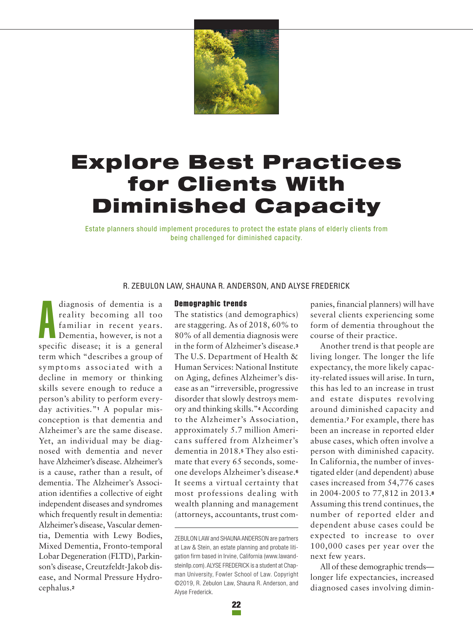

# **Explore Best Practices for Clients With Diminished Capacity**

Estate planners should implement procedures to protect the estate plans of elderly clients from being challenged for diminished capacity.

#### R. ZEBULON LAW, SHAUNA R. ANDERSON, AND ALYSE FREDERICK

A diagnosis of dementia is a reality becoming all too familiar in recent years. Dementia, however, is not a specific disease; it is a general term which "describes a group of symptoms associated with a decline in memory or thinking skills severe enough to reduce a person's ability to perform everyday activities."**<sup>1</sup>** A popular misconception is that dementia and Alzheimer's are the same disease. Yet, an individual may be diagnosed with dementia and never have Alzheimer's disease. Alzheimer's is a cause, rather than a result, of dementia. The Alzheimer's Association identifies a collective of eight independent diseases and syndromes which frequently result in dementia: Alzheimer's disease, Vascular dementia, Dementia with Lewy Bodies, Mixed Dementia, Fronto-temporal Lobar Degeneration (FLTD), Parkinson's disease, Creutzfeldt-Jakob disease, and Normal Pressure Hydrocephalus.**<sup>2</sup>**

#### **Demographic trends**

The statistics (and demographics) are staggering. As of 2018, 60% to 80% of all dementia diagnosis were in the form of Alzheimer's disease.**<sup>3</sup>** The U.S. Department of Health & Human Services: National Institute on Aging, defines Alzheimer's disease as an "irreversible, progressive disorder that slowly destroys memory and thinking skills."**<sup>4</sup>** According to the Alzheimer's Association, approximately 5.7 million Americans suffered from Alzheimer's dementia in 2018.**<sup>5</sup>** They also estimate that every 65 seconds, someone develops Alzheimer's disease.**<sup>6</sup>** It seems a virtual certainty that most professions dealing with wealth planning and management (attorneys, accountants, trust com-

panies, financial planners) will have several clients experiencing some form of dementia throughout the course of their practice.

Another trend is that people are living longer. The longer the life expectancy, the more likely capacity-related issues will arise. In turn, this has led to an increase in trust and estate disputes revolving around diminished capacity and dementia.**<sup>7</sup>** For example, there has been an increase in reported elder abuse cases, which often involve a person with diminished capacity. In California, the number of investigated elder (and dependent) abuse cases increased from 54,776 cases in 2004-2005 to 77,812 in 2013.**<sup>8</sup>** Assuming this trend continues, the number of reported elder and dependent abuse cases could be expected to increase to over 100,000 cases per year over the next few years.

All of these demographic trends longer life expectancies, increased diagnosed cases involving dimin-

ZEBULON LAW and SHAUNA ANDERSON are partners at Law & Stein, an estate planning and probate litigation firm based in Irvine, California (www.lawandsteinllp.com).ALYSE FREDERICK is a student at Chapman University, Fowler School of Law. Copyright ©2019, R. Zebulon Law, Shauna R. Anderson, and Alyse Frederick.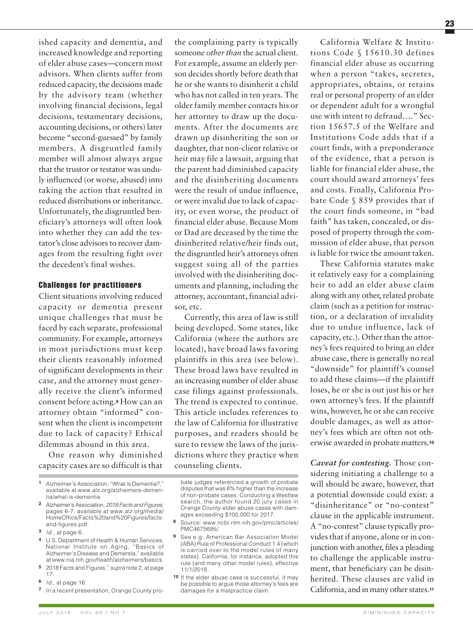ished capacity and dementia, and increased knowledge and reporting of elder abuse cases—concern most advisors. When clients suffer from reduced capacity, the decisions made by the advisory team (whether involving financial decisions, legal decisions, testamentary decisions, accounting decisions, or others) later become "second-guessed" by family members. A disgruntled family member will almost always argue that the trustor or testator was unduly influenced (or worse, abused) into taking the action that resulted in reduced distributions or inheritance. Unfortunately, the disgruntled beneficiary's attorneys will often look into whether they can add the testator's close advisors to recover damages from the resulting fight over the decedent's final wishes.

#### **Challenges for practitioners**

Client situations involving reduced capacity or dementia present unique challenges that must be faced by each separate, professional community. For example, attorneys in most jurisdictions must keep their clients reasonably informed of significant developments in their case, and the attorney must generally receive the client's informed consent before acting.**<sup>9</sup>** How can an attorney obtain "informed" consent when the client is incompetent due to lack of capacity? Ethical dilemmas abound in this area.

One reason why diminished capacity cases are so difficult is that

- **1** Alzheimer's Association, "What is Dementia?," available at www.alz.org/alzheimers-dementia/what-is-dementia.
- **2** Alzheimer's Association, 2018 Facts and Figures, pages 6-7, available at www.alz.org/media/ HomeOffice/Facts%20and%20Figures/factsand-figures.pdf.
- **3** Id., at page 6.
- **4** U.S. Department of Health & Human Services, National Institute on Aging, "Basics of Alzheimer's Disease and Dementia," available at www.nia.nih.gov/health/alzheimers/basics.
- **5** 2018 Facts and Figures," supra note 2, at page 17.
- **6** Id., at page 16.
- **7** In a recent presentation, Orange County pro-

the complaining party is typically someone *other than* the actual client. For example, assume an elderly person decides shortly before death that he or she wants to disinherit a child who has not called in ten years. The older family member contacts his or her attorney to draw up the documents. After the documents are drawn up disinheriting the son or daughter, that non-client relative or heir may file a lawsuit, arguing that the parent had diminished capacity and the disinheriting documents were the result of undue influence, or were invalid due to lack of capacity, or even worse, the product of financial elder abuse. Because Mom or Dad are deceased by the time the disinherited relative/heir finds out, the disgruntled heir's attorneys often suggest suing all of the parties involved with the disinheriting documents and planning, including the attorney, accountant, financial advisor, etc.

Currently, this area of law is still being developed. Some states, like California (where the authors are located), have broad laws favoring plaintiffs in this area (see below). These broad laws have resulted in an increasing number of elder abuse case filings against professionals. The trend is expected to continue. This article includes references to the law of California for illustrative purposes, and readers should be sure to review the laws of the jurisdictions where they practice when counseling clients.

- **8** Source: www.ncbi.nlm.nih.gov/pmc/articles/ PMC4675695/.
- **9** See e.g. American Bar Association Model (ABA) Rule of Professional Conduct 1.4 (which is carried over to the model rules of many states). California, for instance, adopted this rule (and many other model rules), effective 11/1/2018.
- **10** If the elder abuse case is successful, it may be possible to argue those attorney's fees are damages for a malpractice claim.

California Welfare & Institutions Code § 15610.30 defines financial elder abuse as occurring when a person "takes, secretes, appropriates, obtains, or retains real or personal property of an elder or dependent adult for a wrongful use with intent to defraud…." Section 15657.5 of the Welfare and Institutions Code adds that if a court finds, with a preponderance of the evidence, that a person is liable for financial elder abuse, the court should award attorneys' fees and costs. Finally, California Probate Code § 859 provides that if the court finds someone, in "bad faith" has taken, concealed, or disposed of property through the commission of elder abuse, that person is liable for twice the amount taken.

These California statutes make it relatively easy for a complaining heir to add an elder abuse claim along with any other, related probate claim (such as a petition for instruction, or a declaration of invalidity due to undue influence, lack of capacity, etc.). Other than the attorney's fees required to bring an elder abuse case, there is generally no real "downside" for plaintiff's counsel to add these claims—if the plaintiff loses, he or she is out just his or her own attorney's fees. If the plaintiff wins, however, he or she can receive double damages, as well as attorney's fees which are often not otherwise awarded in probate matters.**<sup>10</sup>**

*Caveat for contesting.* Those considering initiating a challenge to a will should be aware, however, that a potential downside could exist: a "disinheritance" or "no-contest" clause in the applicable instrument. A "no-contest" clause typically provides that if anyone, alone or in conjunction with another, files a pleading to challenge the applicable instrument, that beneficiary can be disinherited. These clauses are valid in California, and in many other states.<sup>11</sup>

bate judges referenced a growth of probate disputes that was 6% higher than the increase of non-probate cases. Conducting a Westlaw search, the author found 20 jury cases in Orange County elder abuse cases with damages exceeding \$100,000 for 2017.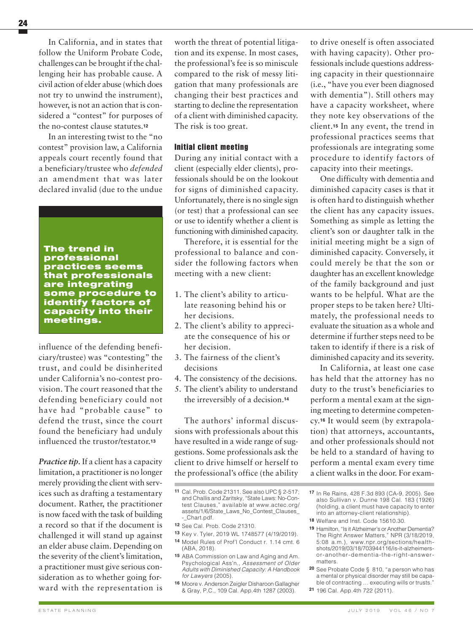In California, and in states that follow the Uniform Probate Code, challenges can be brought if the challenging heir has probable cause. A civil action of elder abuse (which does not try to unwind the instrument), however, is not an action that is considered a "contest" for purposes of the no-contest clause statutes.**<sup>12</sup>**

In an interesting twist to the "no contest" provision law, a California appeals court recently found that a beneficiary/trustee who *defended* an amendment that was later declared invalid (due to the undue

**The trend in professional practices seems that professionals are integrating some procedure to identify factors of capacity into their meetings.**

influence of the defending beneficiary/trustee) was "contesting" the trust, and could be disinherited under California's no-contest provision. The court reasoned that the defending beneficiary could not have had "probable cause" to defend the trust, since the court found the beneficiary had unduly influenced the trustor/testator.**<sup>13</sup>**

*Practice tip.* If a client has a capacity limitation, a practitioner is no longer merely providing the client with services such as drafting a testamentary document. Rather, the practitioner is now faced with the task of building a record so that if the document is challenged it will stand up against an elder abuse claim. Depending on the severity of the client's limitation, a practitioner must give serious consideration as to whether going forward with the representation is

worth the threat of potential litigation and its expense. In most cases, the professional's fee is so miniscule compared to the risk of messy litigation that many professionals are changing their best practices and starting to decline the representation of a client with diminished capacity. The risk is too great.

# **Initial client meeting**

During any initial contact with a client (especially elder clients), professionals should be on the lookout for signs of diminished capacity. Unfortunately, there is no single sign (or test) that a professional can see or use to identify whether a client is functioning with diminished capacity.

Therefore, it is essential for the professional to balance and consider the following factors when meeting with a new client:

- 1. The client's ability to articulate reasoning behind his or her decisions.
- 2. The client's ability to appreciate the consequence of his or her decision.
- 3. The fairness of the client's decisions
- 4. The consistency of the decisions.
- 5. The client's ability to understand the irreversibly of a decision.**<sup>14</sup>**

The authors' informal discussions with professionals about this have resulted in a wide range of suggestions. Some professionals ask the client to drive himself or herself to the professional's office (the ability

- **12** See Cal. Prob. Code 21310.
- **13** Key v. Tyler, 2019 WL 1748577 (4/19/2019). **14** Model Rules of Prof'l Conduct r. 1.14 cmt. 6 (ABA, 2018).
- **15** ABA Commission on Law and Aging and Am. Psychological Ass'n., Assessment of Older Adults with Diminished Capacity: A Handbook for Lawyers (2005).
- **16** Moore v. Anderson Zeigler Disharoon Gallagher & Gray, P.C., 109 Cal. App.4th 1287 (2003).

to drive oneself is often associated with having capacity). Other professionals include questions addressing capacity in their questionnaire (i.e., "have you ever been diagnosed with dementia"). Still others may have a capacity worksheet, where they note key observations of the client.**<sup>15</sup>** In any event, the trend in professional practices seems that professionals are integrating some procedure to identify factors of capacity into their meetings.

One difficulty with dementia and diminished capacity cases is that it is often hard to distinguish whether the client has any capacity issues. Something as simple as letting the client's son or daughter talk in the initial meeting might be a sign of diminished capacity. Conversely, it could merely be that the son or daughter has an excellent knowledge of the family background and just wants to be helpful. What are the proper steps to be taken here? Ultimately, the professional needs to evaluate the situation as a whole and determine if further steps need to be taken to identify if there is a risk of diminished capacity and its severity.

In California, at least one case has held that the attorney has no duty to the trust's beneficiaries to perform a mental exam at the signing meeting to determine competency.**<sup>16</sup>** It would seem (by extrapolation) that attorneys, accountants, and other professionals should not be held to a standard of having to perform a mental exam every time a client walks in the door. For exam-

**17** In Re Rains, 428 F.3d 893 (CA-9, 2005). See also Sullivan v. Dunne 198 Cal. 183 (1926) (holding, a client must have capacity to enter into an attorney-client relationship).

- **18** Welfare and Inst. Code 15610.30.
- 19 Hamilton, "Is it Alzheimer's or Another Dementia? The Right Answer Matters," NPR (3/18/2019, 5:08 a.m.), www.npr.org/sections/healthshots/2019/03/18/703944116/is-it-alzheimersor-another-dementia-the-right-answermatters.
- **20** See Probate Code § 810, "a person who has a mental or physical disorder may still be capable of contracting … executing wills or trusts."
- **21** 196 Cal. App.4th 722 (2011).

**<sup>11</sup>** Cal. Prob. Code 21311. See also UPC § 2-517; and Challis and Zaritsky, "State Laws: No-Contest Clauses," available at www.actec.org/ assets/1/6/State\_Laws\_No\_Contest\_Clauses\_ - Chart.pdf.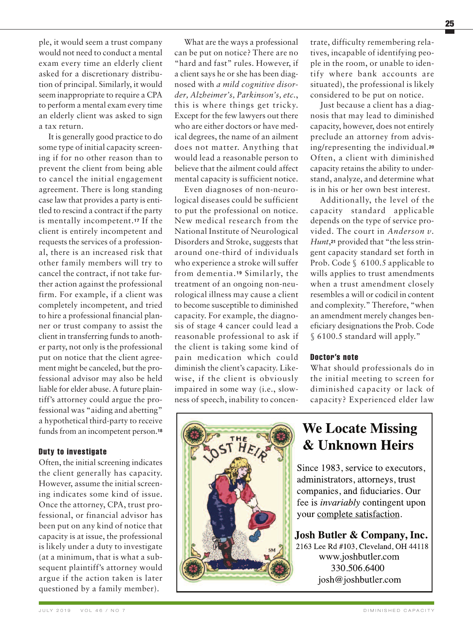ple, it would seem a trust company would not need to conduct a mental exam every time an elderly client asked for a discretionary distribution of principal. Similarly, it would seem inappropriate to require a CPA to perform a mental exam every time an elderly client was asked to sign a tax return.

It is generally good practice to do some type of initial capacity screening if for no other reason than to prevent the client from being able to cancel the initial engagement agreement. There is long standing case law that provides a party is entitled to rescind a contract if the party is mentally incompetent.**<sup>17</sup>** If the client is entirely incompetent and requests the services of a professional, there is an increased risk that other family members will try to cancel the contract, if not take further action against the professional firm. For example, if a client was completely incompetent, and tried to hire a professional financial planner or trust company to assist the client in transferring funds to another party, not only is the professional put on notice that the client agreement might be canceled, but the professional advisor may also be held liable for elder abuse. A future plaintiff's attorney could argue the professional was "aiding and abetting" a hypothetical third-party to receive funds from an incompetent person.<sup>18</sup>

# **Duty to investigate**

Often, the initial screening indicates the client generally has capacity. However, assume the initial screening indicates some kind of issue. Once the attorney, CPA, trust professional, or financial advisor has been put on any kind of notice that capacity is at issue, the professional is likely under a duty to investigate (at a minimum, that is what a subsequent plaintiff's attorney would argue if the action taken is later questioned by a family member).

What are the ways a professional can be put on notice? There are no "hard and fast" rules. However, if a client says he or she has been diagnosed with *a mild cognitive disorder, Alzheimer's, Parkinson's, etc.*, this is where things get tricky. Except for the few lawyers out there who are either doctors or have medical degrees, the name of an ailment does not matter. Anything that would lead a reasonable person to believe that the ailment could affect mental capacity is sufficient notice.

Even diagnoses of non-neurological diseases could be sufficient to put the professional on notice. New medical research from the National Institute of Neurological Disorders and Stroke, suggests that around one-third of individuals who experience a stroke will suffer from dementia. **<sup>19</sup>** Similarly, the treatment of an ongoing non-neurological illness may cause a client to become susceptible to diminished capacity. For example, the diagnosis of stage 4 cancer could lead a reasonable professional to ask if the client is taking some kind of pain medication which could diminish the client's capacity. Likewise, if the client is obviously impaired in some way (i.e., slowness of speech, inability to concen-

trate, difficulty remembering relatives, incapable of identifying people in the room, or unable to identify where bank accounts are situated), the professional is likely considered to be put on notice.

Just because a client has a diagnosis that may lead to diminished capacity, however, does not entirely preclude an attorney from advising/representing the individual.**<sup>20</sup>** Often, a client with diminished capacity retains the ability to understand, analyze, and determine what is in his or her own best interest.

Additionally, the level of the capacity standard applicable depends on the type of service provided. The court in *Anderson v. Hunt*,<sup>21</sup> provided that "the less stringent capacity standard set forth in Prob. Code § 6100.5 applicable to wills applies to trust amendments when a trust amendment closely resembles a will or codicil in content and complexity." Therefore, "when an amendment merely changes beneficiary designations the Prob. Code § 6100.5 standard will apply."

# **Doctor's note**

What should professionals do in the initial meeting to screen for diminished capacity or lack of capacity? Experienced elder law



# **We Locate Missing** & Unknown Heirs

Since 1983, service to executors. administrators, attorneys, trust companies, and fiduciaries. Our fee is *invariably* contingent upon your complete satisfaction.

**Josh Butler & Company, Inc.** 2163 Lee Rd #103, Cleveland, OH 44118 www.joshbutler.com 330.506.6400 josh@joshbutler.com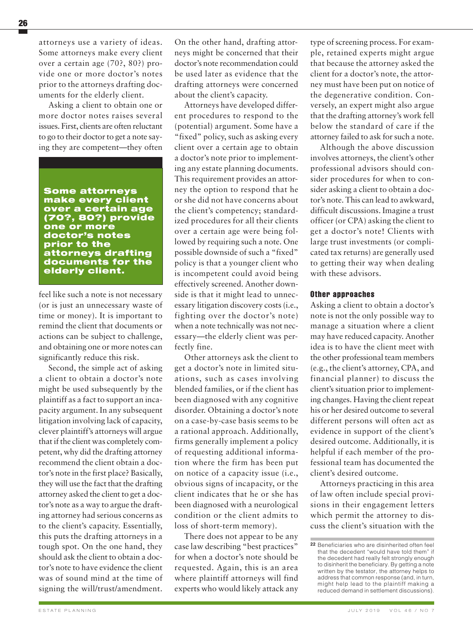attorneys use a variety of ideas. Some attorneys make every client over a certain age (70?, 80?) provide one or more doctor's notes prior to the attorneys drafting documents for the elderly client.

Asking a client to obtain one or more doctor notes raises several issues. First, clients are often reluctant to go to their doctor to get a note saying they are competent—they often

**Some attorneys make every client over a certain age (70?, 80?) provide one or more doctor's notes prior to the attorneys drafting documents for the elderly client.**

feel like such a note is not necessary (or is just an unnecessary waste of time or money). It is important to remind the client that documents or actions can be subject to challenge, and obtaining one or more notes can significantly reduce this risk.

Second, the simple act of asking a client to obtain a doctor's note might be used subsequently by the plaintiff as a fact to support an incapacity argument. In any subsequent litigation involving lack of capacity, clever plaintiff's attorneys will argue that if the client was completely competent, why did the drafting attorney recommend the client obtain a doctor's note in the first place? Basically, they will use the fact that the drafting attorney asked the client to get a doctor's note as a way to argue the drafting attorney had serious concerns as to the client's capacity. Essentially, this puts the drafting attorneys in a tough spot. On the one hand, they should ask the client to obtain a doctor's note to have evidence the client was of sound mind at the time of signing the will/trust/amendment.

On the other hand, drafting attorneys might be concerned that their doctor's note recommendation could be used later as evidence that the drafting attorneys were concerned about the client's capacity.

Attorneys have developed different procedures to respond to the (potential) argument. Some have a "fixed" policy, such as asking every client over a certain age to obtain a doctor's note prior to implementing any estate planning documents. This requirement provides an attorney the option to respond that he or she did not have concerns about the client's competency; standardized procedures for all their clients over a certain age were being followed by requiring such a note. One possible downside of such a "fixed" policy is that a younger client who is incompetent could avoid being effectively screened. Another downside is that it might lead to unnecessary litigation discovery costs (i.e., fighting over the doctor's note) when a note technically was not necessary—the elderly client was perfectly fine.

Other attorneys ask the client to get a doctor's note in limited situations, such as cases involving blended families, or if the client has been diagnosed with any cognitive disorder. Obtaining a doctor's note on a case-by-case basis seems to be a rational approach. Additionally, firms generally implement a policy of requesting additional information where the firm has been put on notice of a capacity issue (i.e., obvious signs of incapacity, or the client indicates that he or she has been diagnosed with a neurological condition or the client admits to loss of short-term memory).

There does not appear to be any case law describing "best practices" for when a doctor's note should be requested. Again, this is an area where plaintiff attorneys will find experts who would likely attack any

type of screening process. For example, retained experts might argue that because the attorney asked the client for a doctor's note, the attorney must have been put on notice of the degenerative condition. Conversely, an expert might also argue that the drafting attorney's work fell below the standard of care if the attorney failed to ask for such a note.

Although the above discussion involves attorneys, the client's other professional advisors should consider procedures for when to consider asking a client to obtain a doctor's note. This can lead to awkward, difficult discussions. Imagine a trust officer (or CPA) asking the client to get a doctor's note! Clients with large trust investments (or complicated tax returns) are generally used to getting their way when dealing with these advisors.

#### **Other approaches**

Asking a client to obtain a doctor's note is not the only possible way to manage a situation where a client may have reduced capacity. Another idea is to have the client meet with the other professional team members (e.g., the client's attorney, CPA, and financial planner) to discuss the client's situation prior to implementing changes. Having the client repeat his or her desired outcome to several different persons will often act as evidence in support of the client's desired outcome. Additionally, it is helpful if each member of the professional team has documented the client's desired outcome.

Attorneys practicing in this area of law often include special provisions in their engagement letters which permit the attorney to discuss the client's situation with the

**<sup>22</sup>** Beneficiaries who are disinherited often feel that the decedent "would have told them" if the decedent had really felt strongly enough to disinherit the beneficiary. By getting a note written by the testator, the attorney helps to address that common response (and, in turn, might help lead to the plaintiff making a reduced demand in settlement discussions).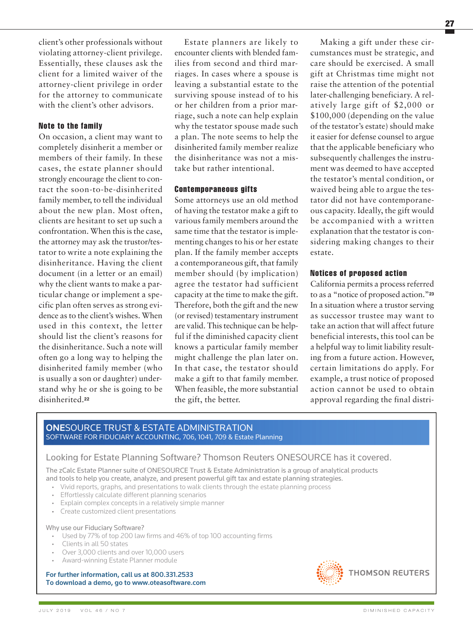client's other professionals without violating attorney-client privilege. Essentially, these clauses ask the client for a limited waiver of the attorney-client privilege in order for the attorney to communicate with the client's other advisors.

# **Note to the family**

On occasion, a client may want to completely disinherit a member or members of their family. In these cases, the estate planner should strongly encourage the client to contact the soon-to-be-disinherited family member, to tell the individual about the new plan. Most often, clients are hesitant to set up such a confrontation. When this is the case, the attorney may ask the trustor/testator to write a note explaining the disinheritance. Having the client document (in a letter or an email) why the client wants to make a particular change or implement a specific plan often serves as strong evidence as to the client's wishes. When used in this context, the letter should list the client's reasons for the disinheritance. Such a note will often go a long way to helping the disinherited family member (who is usually a son or daughter) understand why he or she is going to be disinherited.**<sup>22</sup>**

Estate planners are likely to encounter clients with blended families from second and third marriages. In cases where a spouse is leaving a substantial estate to the surviving spouse instead of to his or her children from a prior marriage, such a note can help explain why the testator spouse made such a plan. The note seems to help the disinherited family member realize the disinheritance was not a mistake but rather intentional.

#### **Contemporaneous gifts**

Some attorneys use an old method of having the testator make a gift to various family members around the same time that the testator is implementing changes to his or her estate plan. If the family member accepts a contemporaneous gift, that family member should (by implication) agree the testator had sufficient capacity at the time to make the gift. Therefore, both the gift and the new (or revised) testamentary instrument are valid. This technique can be helpful if the diminished capacity client knows a particular family member might challenge the plan later on. In that case, the testator should make a gift to that family member. When feasible, the more substantial the gift, the better.

Making a gift under these circumstances must be strategic, and care should be exercised. A small gift at Christmas time might not raise the attention of the potential later-challenging beneficiary. A relatively large gift of \$2,000 or \$100,000 (depending on the value of the testator's estate) should make it easier for defense counsel to argue that the applicable beneficiary who subsequently challenges the instrument was deemed to have accepted the testator's mental condition, or waived being able to argue the testator did not have contemporaneous capacity. Ideally, the gift would be accompanied with a written explanation that the testator is considering making changes to their estate.

# **Notices of proposed action**

California permits a process referred to as a "notice of proposed action."**<sup>23</sup>** In a situation where a trustor serving as successor trustee may want to take an action that will affect future beneficial interests, this tool can be a helpful way to limit liability resulting from a future action. However, certain limitations do apply. For example, a trust notice of proposed action cannot be used to obtain approval regarding the final distri-

#### **ONE**SOURCE TRUST & ESTATE ADMINISTRATION SOFTWARE FOR FIDUCIARY ACCOUNTING, 706, 1041, 709 & Estate Planning

# Looking for Estate Planning Software? Thomson Reuters ONESOURCE has it covered.

The zCalc Estate Planner suite of ONESOURCE Trust & Estate Administration is a group of analytical products and tools to help you create, analyze, and present powerful gift tax and estate planning strategies.

- Vivid reports, graphs, and presentations to walk clients through the estate planning process
- Effortlessly calculate different planning scenarios
- Explain complex concepts in a relatively simple manner
- Create customized client presentations

#### Why use our Fiduciary Software?

- Used by 77% of top 200 law firms and 46% of top 100 accounting firms
- Clients in all 50 states
- Over 3,000 clients and over 10,000 users
- Award-winning Estate Planner module

#### **For further information, call us at 800.331.2533 To download a demo, go to www.oteasoftware.com**

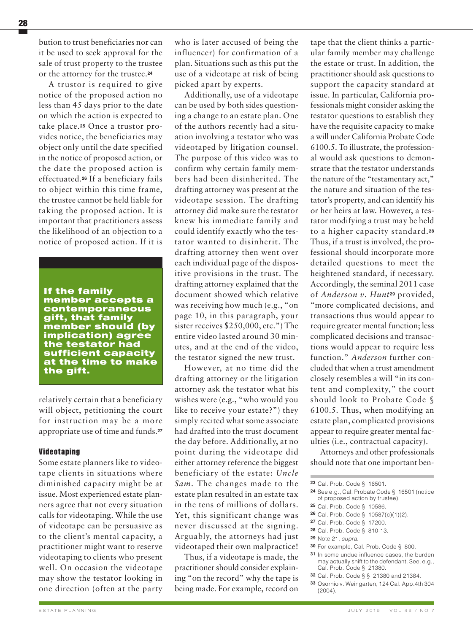bution to trust beneficiaries nor can it be used to seek approval for the sale of trust property to the trustee or the attorney for the trustee.**<sup>24</sup>**

A trustor is required to give notice of the proposed action no less than 45 days prior to the date on which the action is expected to take place.**<sup>25</sup>** Once a trustor provides notice, the beneficiaries may object only until the date specified in the notice of proposed action, or the date the proposed action is effectuated.**<sup>26</sup>** If a beneficiary fails to object within this time frame, the trustee cannot be held liable for taking the proposed action. It is important that practitioners assess the likelihood of an objection to a notice of proposed action. If it is

**If the family member accepts a contemporaneous gift, that family member should (by implication) agree the testator had sufficient capacity at the time to make the gift.**

relatively certain that a beneficiary will object, petitioning the court for instruction may be a more appropriate use of time and funds.**<sup>27</sup>**

#### **Videotaping**

Some estate planners like to videotape clients in situations where diminished capacity might be at issue. Most experienced estate planners agree that not every situation calls for videotaping. While the use of videotape can be persuasive as to the client's mental capacity, a practitioner might want to reserve videotaping to clients who present well. On occasion the videotape may show the testator looking in one direction (often at the party

who is later accused of being the influencer) for confirmation of a plan. Situations such as this put the use of a videotape at risk of being picked apart by experts.

Additionally, use of a videotape can be used by both sides questioning a change to an estate plan. One of the authors recently had a situation involving a testator who was videotaped by litigation counsel. The purpose of this video was to confirm why certain family members had been disinherited. The drafting attorney was present at the videotape session. The drafting attorney did make sure the testator knew his immediate family and could identify exactly who the testator wanted to disinherit. The drafting attorney then went over each individual page of the dispositive provisions in the trust. The drafting attorney explained that the document showed which relative was receiving how much (e.g., "on page 10, in this paragraph, your sister receives \$250,000, etc.") The entire video lasted around 30 minutes, and at the end of the video, the testator signed the new trust.

However, at no time did the drafting attorney or the litigation attorney ask the testator what his wishes were (e.g., "who would you like to receive your estate?") they simply recited what some associate had drafted into the trust document the day before. Additionally, at no point during the videotape did either attorney reference the biggest beneficiary of the estate: *Uncle Sam.* The changes made to the estate plan resulted in an estate tax in the tens of millions of dollars. Yet, this significant change was never discussed at the signing. Arguably, the attorneys had just videotaped their own malpractice!

Thus, if a videotape is made, the practitioner should consider explaining "on the record" why the tape is being made. For example, record on

tape that the client thinks a particular family member may challenge the estate or trust. In addition, the practitioner should ask questions to support the capacity standard at issue. In particular, California professionals might consider asking the testator questions to establish they have the requisite capacity to make a will under California Probate Code 6100.5. To illustrate, the professional would ask questions to demonstrate that the testator understands the nature of the "testamentary act," the nature and situation of the testator's property, and can identify his or her heirs at law. However, a testator modifying a trust may be held to a higher capacity standard.**<sup>28</sup>** Thus, if a trust is involved, the professional should incorporate more detailed questions to meet the heightened standard, if necessary. Accordingly, the seminal 2011 case of *Anderson v. Hunt***<sup>29</sup>** provided, "more complicated decisions, and transactions thus would appear to require greater mental function; less complicated decisions and transactions would appear to require less function." *Anderson* further concluded that when a trust amendment closely resembles a will "in its content and complexity," the court should look to Probate Code § 6100.5. Thus, when modifying an estate plan, complicated provisions appear to require greater mental faculties (i.e., contractual capacity).

Attorneys and other professionals should note that one important ben-

- **24** See e.g., Cal. Probate Code § 16501 (notice of proposed action by trustee).
- **25** Cal. Prob. Code § 10586.
- **26** Cal. Prob. Code § 10587(c)(1)(2).
- **27** Cal. Prob. Code § 17200.
- **28** Cal. Prob. Code § 810-13.
- **29** Note 21, supra.
- **30** For example, Cal. Prob. Code § 800.
- **31** In some undue influence cases, the burden may actually shift to the defendant. See, e.g., Cal. Prob. Code § 21380.
- **32** Cal. Prob. Code § § 21380 and 21384.
- **33** Osornio v. Weingarten, 124 Cal. App.4th 304 (2004).

**<sup>23</sup>** Cal. Prob. Code § 16501.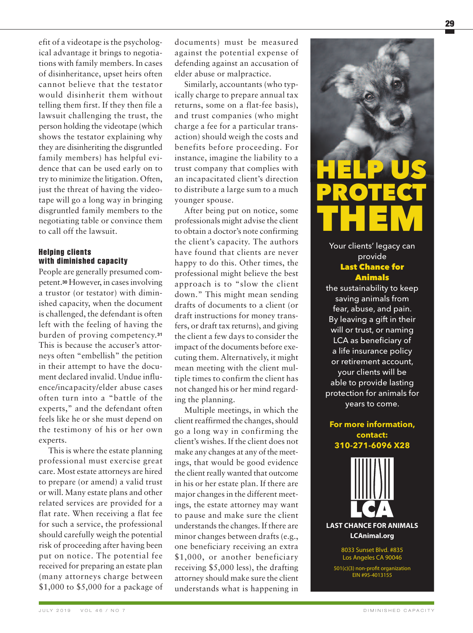efit of a videotape is the psychological advantage it brings to negotiations with family members. In cases of disinheritance, upset heirs often cannot believe that the testator would disinherit them without telling them first. If they then file a lawsuit challenging the trust, the person holding the videotape (which shows the testator explaining why they are disinheriting the disgruntled family members) has helpful evidence that can be used early on to try to minimize the litigation. Often, just the threat of having the videotape will go a long way in bringing disgruntled family members to the negotiating table or convince them to call off the lawsuit.

# **Helping clients with diminished capacity**

People are generally presumed competent.**<sup>30</sup>** However, in casesinvolving a trustor (or testator) with diminished capacity, when the document is challenged, the defendant is often left with the feeling of having the burden of proving competency.**<sup>31</sup>** This is because the accuser's attorneys often "embellish" the petition in their attempt to have the document declared invalid. Undue influence/incapacity/elder abuse cases often turn into a "battle of the experts," and the defendant often feels like he or she must depend on the testimony of his or her own experts.

This is where the estate planning professional must exercise great care. Most estate attorneys are hired to prepare (or amend) a valid trust or will. Many estate plans and other related services are provided for a flat rate. When receiving a flat fee for such a service, the professional should carefully weigh the potential risk of proceeding after having been put on notice. The potential fee received for preparing an estate plan (many attorneys charge between \$1,000 to \$5,000 for a package of

documents) must be measured against the potential expense of defending against an accusation of elder abuse or malpractice.

Similarly, accountants (who typically charge to prepare annual tax returns, some on a flat-fee basis), and trust companies (who might charge a fee for a particular transaction) should weigh the costs and benefits before proceeding. For instance, imagine the liability to a trust company that complies with an incapacitated client's direction to distribute a large sum to a much younger spouse.

After being put on notice, some professionals might advise the client to obtain a doctor's note confirming the client's capacity. The authors have found that clients are never happy to do this. Other times, the professional might believe the best approach is to "slow the client down." This might mean sending drafts of documents to a client (or draft instructions for money transfers, or draft tax returns), and giving the client a few days to consider the impact of the documents before executing them. Alternatively, it might mean meeting with the client multiple times to confirm the client has not changed his or her mind regarding the planning.

Multiple meetings, in which the client reaffirmed the changes, should go a long way in confirming the client's wishes. If the client does not make any changes at any of the meetings, that would be good evidence the client really wanted that outcome in his or her estate plan. If there are major changes in the different meetings, the estate attorney may want to pause and make sure the client understands the changes. If there are minor changes between drafts (e.g., one beneficiary receiving an extra \$1,000, or another beneficiary receiving \$5,000 less), the drafting attorney should make sure the client understands what is happening in



Your clients' legacy can provide **Last Chance for Animals**

the sustainability to keep saving animals from fear, abuse, and pain. By leaving a gift in their will or trust, or naming LCA as beneficiary of a life insurance policy or retirement account, your clients will be able to provide lasting protection for animals for years to come.

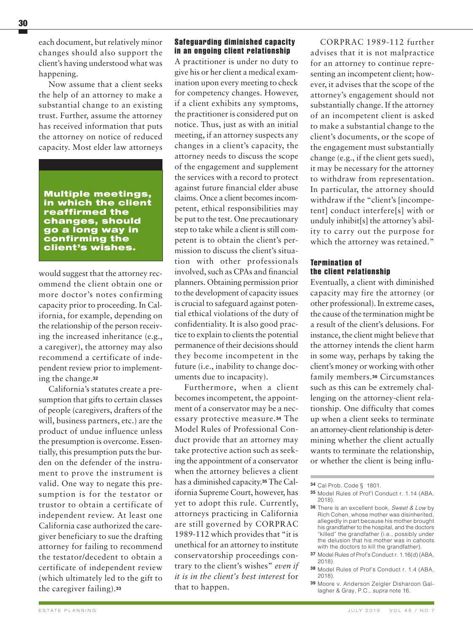each document, but relatively minor changes should also support the client's having understood what was happening.

Now assume that a client seeks the help of an attorney to make a substantial change to an existing trust. Further, assume the attorney has received information that puts the attorney on notice of reduced capacity. Most elder law attorneys

**Multiple meetings, in which the client reaffirmed the changes, should go a long way in confirming the client's wishes.**

would suggest that the attorney recommend the client obtain one or more doctor's notes confirming capacity prior to proceeding. In California, for example, depending on the relationship of the person receiving the increased inheritance (e.g., a caregiver), the attorney may also recommend a certificate of independent review prior to implementing the change.**<sup>32</sup>**

California's statutes create a presumption that gifts to certain classes of people (caregivers, drafters of the will, business partners, etc.) are the product of undue influence unless the presumption is overcome. Essentially, this presumption puts the burden on the defender of the instrument to prove the instrument is valid. One way to negate this presumption is for the testator or trustor to obtain a certificate of independent review. At least one California case authorized the caregiver beneficiary to sue the drafting attorney for failing to recommend the testator/decedent to obtain a certificate of independent review (which ultimately led to the gift to the caregiver failing).**<sup>33</sup>**

# **Safeguarding diminished capacity in an ongoing client relationship**

A practitioner is under no duty to give his or her client a medical examination upon every meeting to check for competency changes. However, if a client exhibits any symptoms, the practitioner is considered put on notice. Thus, just as with an initial meeting, if an attorney suspects any changes in a client's capacity, the attorney needs to discuss the scope of the engagement and supplement the services with a record to protect against future financial elder abuse claims. Once a client becomes incompetent, ethical responsibilities may be put to the test. One precautionary step to take while a client is still competent is to obtain the client's permission to discuss the client's situation with other professionals involved, such as CPAs and financial planners. Obtaining permission prior to the development of capacity issues is crucial to safeguard against potential ethical violations of the duty of confidentiality. It is also good practice to explain to clients the potential permanence of their decisions should they become incompetent in the future (i.e., inability to change documents due to incapacity).

Furthermore, when a client becomes incompetent, the appointment of a conservator may be a necessary protective measure.**<sup>34</sup>** The Model Rules of Professional Conduct provide that an attorney may take protective action such as seeking the appointment of a conservator when the attorney believes a client has a diminished capacity.**<sup>35</sup>** The California Supreme Court, however, has yet to adopt this rule. Currently, attorneys practicing in California are still governed by CORPRAC 1989-112 which provides that "it is unethical for an attorney to institute conservatorship proceedings contrary to the client's wishes" *even if it is in the client's best interest* for that to happen.

CORPRAC 1989-112 further advises that it is not malpractice for an attorney to continue representing an incompetent client; however, it advises that the scope of the attorney's engagement should not substantially change. If the attorney of an incompetent client is asked to make a substantial change to the client's documents, or the scope of the engagement must substantially change (e.g., if the client gets sued), it may be necessary for the attorney to withdraw from representation. In particular, the attorney should withdraw if the "client's [incompetent] conduct interfere[s] with or unduly inhibit[s] the attorney's ability to carry out the purpose for which the attorney was retained."

# **Termination of the client relationship**

Eventually, a client with diminished capacity may fire the attorney (or other professional). In extreme cases, the cause of the termination might be a result of the client's delusions. For instance, the client might believe that the attorney intends the client harm in some way, perhaps by taking the client's money or working with other family members.**<sup>36</sup>** Circumstances such as this can be extremely challenging on the attorney-client relationship. One difficulty that comes up when a client seeks to terminate an attorney-client relationship is determining whether the client actually wants to terminate the relationship, or whether the client is being influ-

- **37** Model Rules of Prof's Conduct r. 1.16(d) (ABA, 2018).
- **38** Model Rules of Prof's Conduct r. 1.4 (ABA, 2018).
- **39** Moore v. Anderson Zeigler Disharoon Gallagher & Gray, P.C., supra note 16.

**<sup>34</sup>** Cal Prob. Code § 1801.

**<sup>35</sup>** Model Rules of Prof'l Conduct r. 1.14 (ABA, 2018).

**<sup>36</sup>** There is an excellent book, Sweet & Low by Rich Cohen, whose mother was disinherited, allegedly in part because his mother brought his grandfather to the hospital, and the doctors "killed" the grandfather (i.e., possibly under the delusion that his mother was in cahoots with the doctors to kill the grandfather).